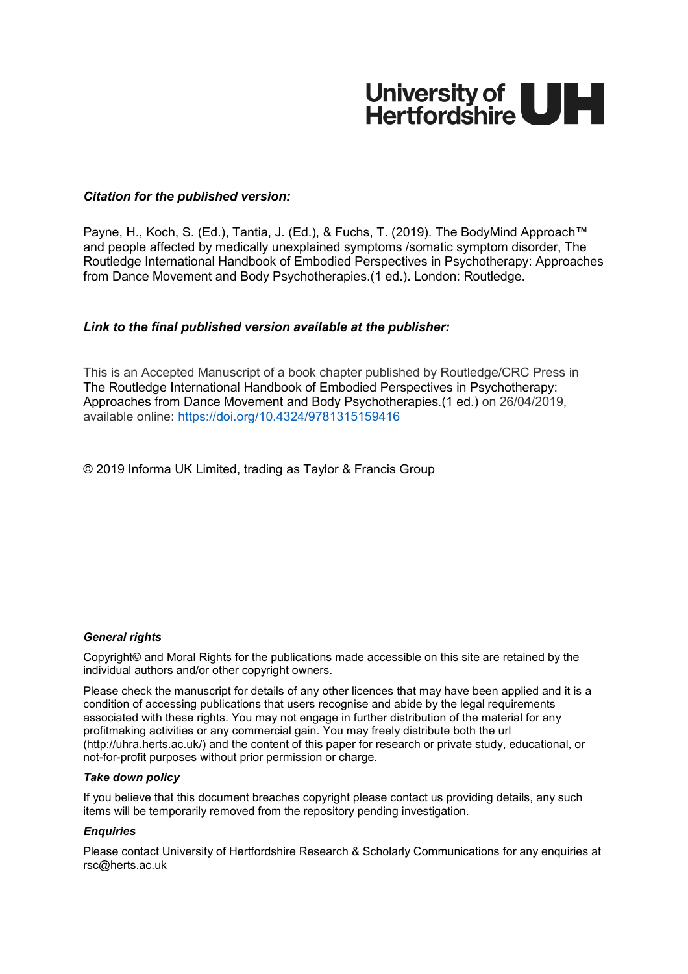# University of **ULLE**<br>Hertfordshire

# *Citation for the published version:*

Payne, H., Koch, S. (Ed.), Tantia, J. (Ed.), & Fuchs, T. (2019). The BodyMind Approach™ and people affected by medically unexplained symptoms /somatic symptom disorder, The Routledge International Handbook of Embodied Perspectives in Psychotherapy: Approaches from Dance Movement and Body Psychotherapies.(1 ed.). London: Routledge.

# *Link to the final published version available at the publisher:*

This is an Accepted Manuscript of a book chapter published by Routledge/CRC Press in The Routledge International Handbook of Embodied Perspectives in Psychotherapy: Approaches from Dance Movement and Body Psychotherapies.(1 ed.) on 26/04/2019, available online:<https://doi.org/10.4324/9781315159416>

© 2019 Informa UK Limited, trading as Taylor & Francis Group

# *General rights*

Copyright© and Moral Rights for the publications made accessible on this site are retained by the individual authors and/or other copyright owners.

Please check the manuscript for details of any other licences that may have been applied and it is a condition of accessing publications that users recognise and abide by the legal requirements associated with these rights. You may not engage in further distribution of the material for any profitmaking activities or any commercial gain. You may freely distribute both the url (http://uhra.herts.ac.uk/) and the content of this paper for research or private study, educational, or not-for-profit purposes without prior permission or charge.

## *Take down policy*

If you believe that this document breaches copyright please contact us providing details, any such items will be temporarily removed from the repository pending investigation.

#### *Enquiries*

Please contact University of Hertfordshire Research & Scholarly Communications for any enquiries at rsc@herts.ac.uk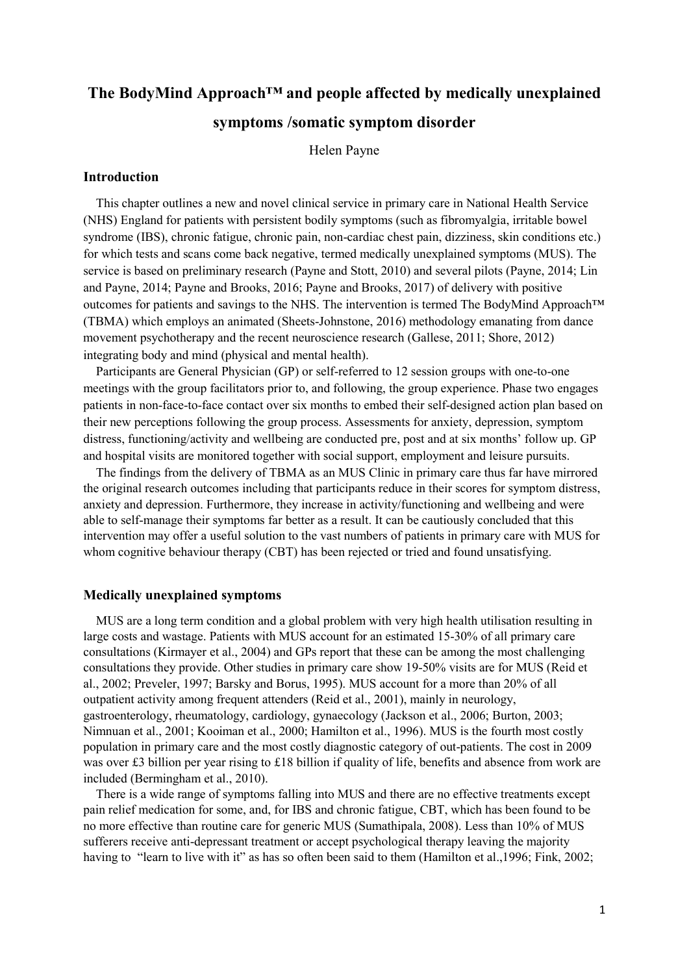# **The BodyMind Approach™ and people affected by medically unexplained symptoms /somatic symptom disorder**

Helen Payne

# **Introduction**

 This chapter outlines a new and novel clinical service in primary care in National Health Service (NHS) England for patients with persistent bodily symptoms (such as fibromyalgia, irritable bowel syndrome (IBS), chronic fatigue, chronic pain, non-cardiac chest pain, dizziness, skin conditions etc.) for which tests and scans come back negative, termed medically unexplained symptoms (MUS). The service is based on preliminary research (Payne and Stott, 2010) and several pilots (Payne, 2014; Lin and Payne, 2014; Payne and Brooks, 2016; Payne and Brooks, 2017) of delivery with positive outcomes for patients and savings to the NHS. The intervention is termed The BodyMind Approach™ (TBMA) which employs an animated (Sheets-Johnstone, 2016) methodology emanating from dance movement psychotherapy and the recent neuroscience research (Gallese, 2011; Shore, 2012) integrating body and mind (physical and mental health).

 Participants are General Physician (GP) or self-referred to 12 session groups with one-to-one meetings with the group facilitators prior to, and following, the group experience. Phase two engages patients in non-face-to-face contact over six months to embed their self-designed action plan based on their new perceptions following the group process. Assessments for anxiety, depression, symptom distress, functioning/activity and wellbeing are conducted pre, post and at six months' follow up. GP and hospital visits are monitored together with social support, employment and leisure pursuits.

 The findings from the delivery of TBMA as an MUS Clinic in primary care thus far have mirrored the original research outcomes including that participants reduce in their scores for symptom distress, anxiety and depression. Furthermore, they increase in activity/functioning and wellbeing and were able to self-manage their symptoms far better as a result. It can be cautiously concluded that this intervention may offer a useful solution to the vast numbers of patients in primary care with MUS for whom cognitive behaviour therapy (CBT) has been rejected or tried and found unsatisfying.

## **Medically unexplained symptoms**

 MUS are a long term condition and a global problem with very high health utilisation resulting in large costs and wastage. Patients with MUS account for an estimated 15-30% of all primary care consultations (Kirmayer et al., 2004) and GPs report that these can be among the most challenging consultations they provide. Other studies in primary care show 19-50% visits are for MUS (Reid et al., 2002; Preveler, 1997; Barsky and Borus, 1995). MUS account for a more than 20% of all outpatient activity among frequent attenders (Reid et al., 2001), mainly in neurology, gastroenterology, rheumatology, cardiology, gynaecology (Jackson et al., 2006; Burton, 2003; Nimnuan et al., 2001; Kooiman et al., 2000; Hamilton et al., 1996). MUS is the fourth most costly population in primary care and the most costly diagnostic category of out-patients. The cost in 2009 was over £3 billion per year rising to £18 billion if quality of life, benefits and absence from work are included (Bermingham et al., 2010).

 There is a wide range of symptoms falling into MUS and there are no effective treatments except pain relief medication for some, and, for IBS and chronic fatigue, CBT, which has been found to be no more effective than routine care for generic MUS (Sumathipala, 2008). Less than 10% of MUS sufferers receive anti-depressant treatment or accept psychological therapy leaving the majority having to "learn to live with it" as has so often been said to them (Hamilton et al., 1996; Fink, 2002;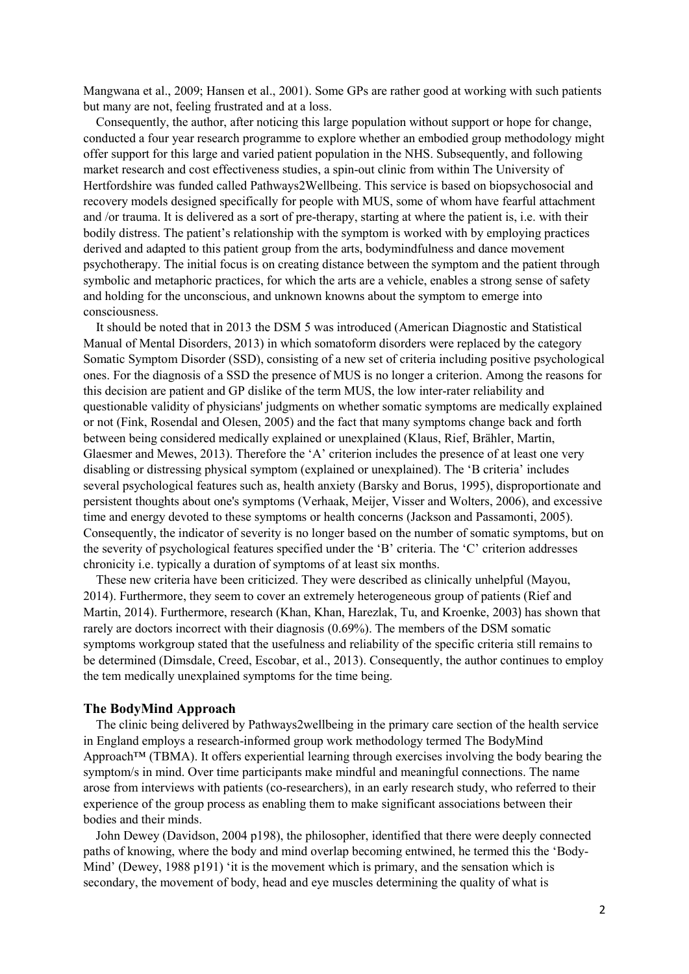Mangwana et al., 2009; Hansen et al., 2001). Some GPs are rather good at working with such patients but many are not, feeling frustrated and at a loss.

 Consequently, the author, after noticing this large population without support or hope for change, conducted a four year research programme to explore whether an embodied group methodology might offer support for this large and varied patient population in the NHS. Subsequently, and following market research and cost effectiveness studies, a spin-out clinic from within The University of Hertfordshire was funded called Pathways2Wellbeing. This service is based on biopsychosocial and recovery models designed specifically for people with MUS, some of whom have fearful attachment and /or trauma. It is delivered as a sort of pre-therapy, starting at where the patient is, i.e. with their bodily distress. The patient's relationship with the symptom is worked with by employing practices derived and adapted to this patient group from the arts, bodymindfulness and dance movement psychotherapy. The initial focus is on creating distance between the symptom and the patient through symbolic and metaphoric practices, for which the arts are a vehicle, enables a strong sense of safety and holding for the unconscious, and unknown knowns about the symptom to emerge into consciousness.

 It should be noted that in 2013 the DSM 5 was introduced (American Diagnostic and Statistical Manual of Mental Disorders, 2013) in which somatoform disorders were replaced by the category Somatic Symptom Disorder (SSD), consisting of a new set of criteria including positive psychological ones. For the diagnosis of a SSD the presence of MUS is no longer a criterion. Among the reasons for this decision are patient and GP dislike of the term MUS, the low inter-rater reliability and questionable validity of physicians' judgments on whether somatic symptoms are medically explained or not (Fink, Rosendal and Olesen, 2005) and the fact that many symptoms change back and forth between being considered medically explained or unexplained (Klaus, Rief, Brähler, Martin, Glaesmer and Mewes, 2013). Therefore the 'A' criterion includes the presence of at least one very disabling or distressing physical symptom (explained or unexplained). The 'B criteria' includes several psychological features such as, health anxiety (Barsky and Borus, 1995), disproportionate and persistent thoughts about one's symptoms (Verhaak, Meijer, Visser and Wolters, 2006), and excessive time and energy devoted to these symptoms or health concerns (Jackson and Passamonti, 2005). Consequently, the indicator of severity is no longer based on the number of somatic symptoms, but on the severity of psychological features specified under the 'B' criteria. The 'C' criterion addresses chronicity i.e. typically a duration of symptoms of at least six months.

 These new criteria have been criticized. They were described as clinically unhelpful (Mayou, 2014). Furthermore, they seem to cover an extremely heterogeneous group of patients (Rief and Martin, 2014). Furthermore, research (Khan, Khan, Harezlak, Tu, and Kroenke, 2003) has shown that rarely are doctors incorrect with their diagnosis (0.69%). The members of the DSM somatic symptoms workgroup stated that the usefulness and reliability of the specific criteria still remains to be determined (Dimsdale, Creed, Escobar, et al., 2013). Consequently, the author continues to employ the tem medically unexplained symptoms for the time being.

#### **The BodyMind Approach**

 The clinic being delivered by Pathways2wellbeing in the primary care section of the health service in England employs a research-informed group work methodology termed The BodyMind Approach<sup>TM</sup> (TBMA). It offers experiential learning through exercises involving the body bearing the symptom/s in mind. Over time participants make mindful and meaningful connections. The name arose from interviews with patients (co-researchers), in an early research study, who referred to their experience of the group process as enabling them to make significant associations between their bodies and their minds.

 John Dewey (Davidson, 2004 p198), the philosopher, identified that there were deeply connected paths of knowing, where the body and mind overlap becoming entwined, he termed this the 'Body-Mind' (Dewey, 1988 p191) 'it is the movement which is primary, and the sensation which is secondary, the movement of body, head and eye muscles determining the quality of what is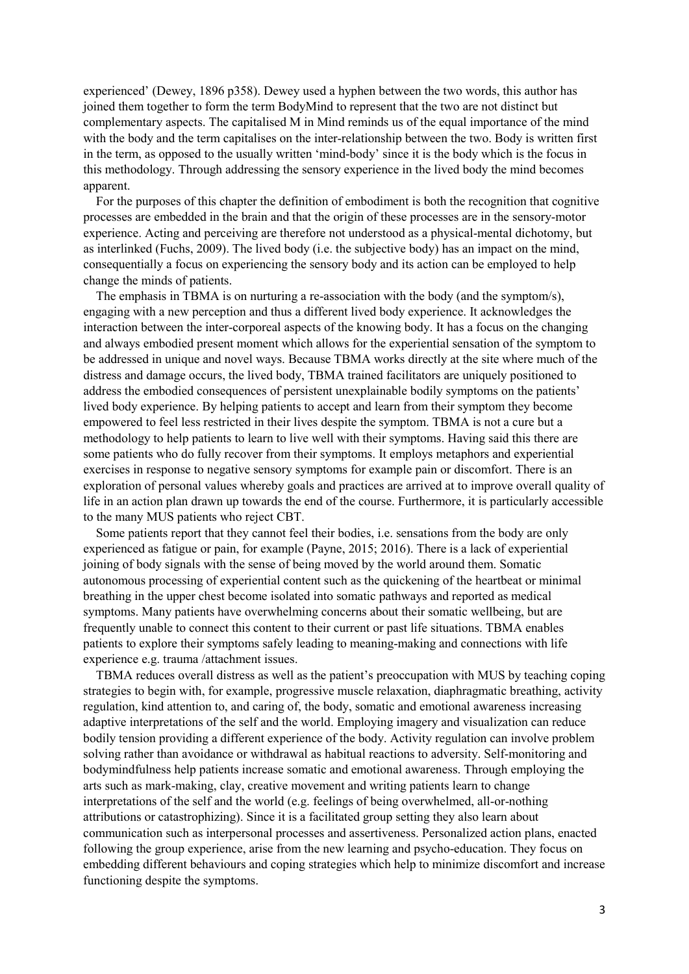experienced' (Dewey, 1896 p358). Dewey used a hyphen between the two words, this author has joined them together to form the term BodyMind to represent that the two are not distinct but complementary aspects. The capitalised M in Mind reminds us of the equal importance of the mind with the body and the term capitalises on the inter-relationship between the two. Body is written first in the term, as opposed to the usually written 'mind-body' since it is the body which is the focus in this methodology. Through addressing the sensory experience in the lived body the mind becomes apparent.

 For the purposes of this chapter the definition of embodiment is both the recognition that cognitive processes are embedded in the brain and that the origin of these processes are in the sensory-motor experience. Acting and perceiving are therefore not understood as a physical-mental dichotomy, but as interlinked (Fuchs, 2009). The lived body (i.e. the subjective body) has an impact on the mind, consequentially a focus on experiencing the sensory body and its action can be employed to help change the minds of patients.

 The emphasis in TBMA is on nurturing a re-association with the body (and the symptom/s), engaging with a new perception and thus a different lived body experience. It acknowledges the interaction between the inter-corporeal aspects of the knowing body. It has a focus on the changing and always embodied present moment which allows for the experiential sensation of the symptom to be addressed in unique and novel ways. Because TBMA works directly at the site where much of the distress and damage occurs, the lived body, TBMA trained facilitators are uniquely positioned to address the embodied consequences of persistent unexplainable bodily symptoms on the patients' lived body experience. By helping patients to accept and learn from their symptom they become empowered to feel less restricted in their lives despite the symptom. TBMA is not a cure but a methodology to help patients to learn to live well with their symptoms. Having said this there are some patients who do fully recover from their symptoms. It employs metaphors and experiential exercises in response to negative sensory symptoms for example pain or discomfort. There is an exploration of personal values whereby goals and practices are arrived at to improve overall quality of life in an action plan drawn up towards the end of the course. Furthermore, it is particularly accessible to the many MUS patients who reject CBT.

 Some patients report that they cannot feel their bodies, i.e. sensations from the body are only experienced as fatigue or pain, for example (Payne, 2015; 2016). There is a lack of experiential joining of body signals with the sense of being moved by the world around them. Somatic autonomous processing of experiential content such as the quickening of the heartbeat or minimal breathing in the upper chest become isolated into somatic pathways and reported as medical symptoms. Many patients have overwhelming concerns about their somatic wellbeing, but are frequently unable to connect this content to their current or past life situations. TBMA enables patients to explore their symptoms safely leading to meaning-making and connections with life experience e.g. trauma /attachment issues.

 TBMA reduces overall distress as well as the patient's preoccupation with MUS by teaching coping strategies to begin with, for example, progressive muscle relaxation, diaphragmatic breathing, activity regulation, kind attention to, and caring of, the body, somatic and emotional awareness increasing adaptive interpretations of the self and the world. Employing imagery and visualization can reduce bodily tension providing a different experience of the body. Activity regulation can involve problem solving rather than avoidance or withdrawal as habitual reactions to adversity. Self-monitoring and bodymindfulness help patients increase somatic and emotional awareness. Through employing the arts such as mark-making, clay, creative movement and writing patients learn to change interpretations of the self and the world (e.g. feelings of being overwhelmed, all-or-nothing attributions or catastrophizing). Since it is a facilitated group setting they also learn about communication such as interpersonal processes and assertiveness. Personalized action plans, enacted following the group experience, arise from the new learning and psycho-education. They focus on embedding different behaviours and coping strategies which help to minimize discomfort and increase functioning despite the symptoms.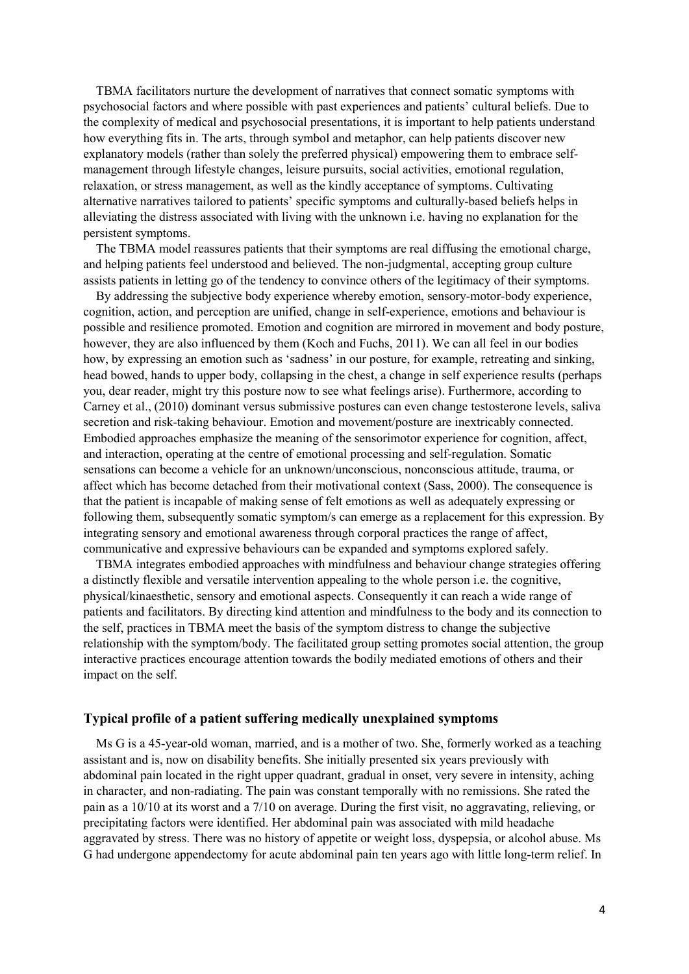TBMA facilitators nurture the development of narratives that connect somatic symptoms with psychosocial factors and where possible with past experiences and patients' cultural beliefs. Due to the complexity of medical and psychosocial presentations, it is important to help patients understand how everything fits in. The arts, through symbol and metaphor, can help patients discover new explanatory models (rather than solely the preferred physical) empowering them to embrace selfmanagement through lifestyle changes, leisure pursuits, social activities, emotional regulation, relaxation, or stress management, as well as the kindly acceptance of symptoms. Cultivating alternative narratives tailored to patients' specific symptoms and culturally-based beliefs helps in alleviating the distress associated with living with the unknown i.e. having no explanation for the persistent symptoms.

 The TBMA model reassures patients that their symptoms are real diffusing the emotional charge, and helping patients feel understood and believed. The non-judgmental, accepting group culture assists patients in letting go of the tendency to convince others of the legitimacy of their symptoms.

 By addressing the subjective body experience whereby emotion, sensory-motor-body experience, cognition, action, and perception are unified, change in self-experience, emotions and behaviour is possible and resilience promoted. Emotion and cognition are mirrored in movement and body posture, however, they are also influenced by them (Koch and Fuchs, 2011). We can all feel in our bodies how, by expressing an emotion such as 'sadness' in our posture, for example, retreating and sinking, head bowed, hands to upper body, collapsing in the chest, a change in self experience results (perhaps you, dear reader, might try this posture now to see what feelings arise). Furthermore, according to Carney et al., (2010) dominant versus submissive postures can even change testosterone levels, saliva secretion and risk-taking behaviour. Emotion and movement/posture are inextricably connected. Embodied approaches emphasize the meaning of the sensorimotor experience for cognition, affect, and interaction, operating at the centre of emotional processing and self-regulation. Somatic sensations can become a vehicle for an unknown/unconscious, nonconscious attitude, trauma, or affect which has become detached from their motivational context (Sass, 2000). The consequence is that the patient is incapable of making sense of felt emotions as well as adequately expressing or following them, subsequently somatic symptom/s can emerge as a replacement for this expression. By integrating sensory and emotional awareness through corporal practices the range of affect, communicative and expressive behaviours can be expanded and symptoms explored safely.

 TBMA integrates embodied approaches with mindfulness and behaviour change strategies offering a distinctly flexible and versatile intervention appealing to the whole person i.e. the cognitive, physical/kinaesthetic, sensory and emotional aspects. Consequently it can reach a wide range of patients and facilitators. By directing kind attention and mindfulness to the body and its connection to the self, practices in TBMA meet the basis of the symptom distress to change the subjective relationship with the symptom/body. The facilitated group setting promotes social attention, the group interactive practices encourage attention towards the bodily mediated emotions of others and their impact on the self.

# **Typical profile of a patient suffering medically unexplained symptoms**

 Ms G is a 45-year-old woman, married, and is a mother of two. She, formerly worked as a teaching assistant and is, now on disability benefits. She initially presented six years previously with abdominal pain located in the right upper quadrant, gradual in onset, very severe in intensity, aching in character, and non-radiating. The pain was constant temporally with no remissions. She rated the pain as a 10/10 at its worst and a 7/10 on average. During the first visit, no aggravating, relieving, or precipitating factors were identified. Her abdominal pain was associated with mild headache aggravated by stress. There was no history of appetite or weight loss, dyspepsia, or alcohol abuse. Ms G had undergone appendectomy for acute abdominal pain ten years ago with little long-term relief. In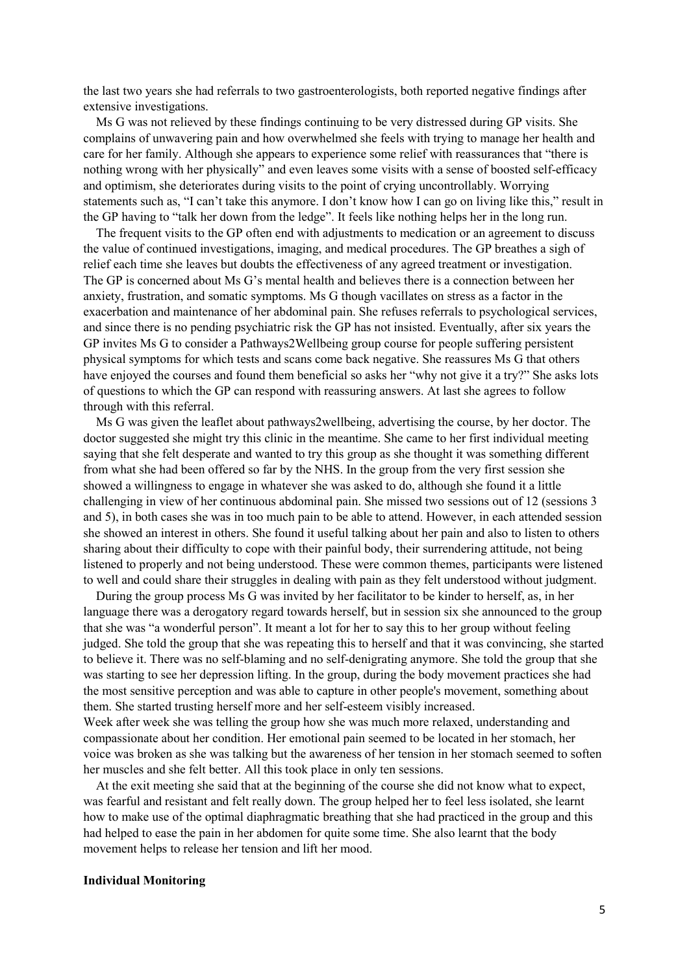the last two years she had referrals to two gastroenterologists, both reported negative findings after extensive investigations.

 Ms G was not relieved by these findings continuing to be very distressed during GP visits. She complains of unwavering pain and how overwhelmed she feels with trying to manage her health and care for her family. Although she appears to experience some relief with reassurances that "there is nothing wrong with her physically" and even leaves some visits with a sense of boosted self-efficacy and optimism, she deteriorates during visits to the point of crying uncontrollably. Worrying statements such as, "I can't take this anymore. I don't know how I can go on living like this," result in the GP having to "talk her down from the ledge". It feels like nothing helps her in the long run.

 The frequent visits to the GP often end with adjustments to medication or an agreement to discuss the value of continued investigations, imaging, and medical procedures. The GP breathes a sigh of relief each time she leaves but doubts the effectiveness of any agreed treatment or investigation. The GP is concerned about Ms G's mental health and believes there is a connection between her anxiety, frustration, and somatic symptoms. Ms G though vacillates on stress as a factor in the exacerbation and maintenance of her abdominal pain. She refuses referrals to psychological services, and since there is no pending psychiatric risk the GP has not insisted. Eventually, after six years the GP invites Ms G to consider a Pathways2Wellbeing group course for people suffering persistent physical symptoms for which tests and scans come back negative. She reassures Ms G that others have enjoyed the courses and found them beneficial so asks her "why not give it a try?" She asks lots of questions to which the GP can respond with reassuring answers. At last she agrees to follow through with this referral.

 Ms G was given the leaflet about pathways2wellbeing, advertising the course, by her doctor. The doctor suggested she might try this clinic in the meantime. She came to her first individual meeting saying that she felt desperate and wanted to try this group as she thought it was something different from what she had been offered so far by the NHS. In the group from the very first session she showed a willingness to engage in whatever she was asked to do, although she found it a little challenging in view of her continuous abdominal pain. She missed two sessions out of 12 (sessions 3 and 5), in both cases she was in too much pain to be able to attend. However, in each attended session she showed an interest in others. She found it useful talking about her pain and also to listen to others sharing about their difficulty to cope with their painful body, their surrendering attitude, not being listened to properly and not being understood. These were common themes, participants were listened to well and could share their struggles in dealing with pain as they felt understood without judgment.

 During the group process Ms G was invited by her facilitator to be kinder to herself, as, in her language there was a derogatory regard towards herself, but in session six she announced to the group that she was "a wonderful person". It meant a lot for her to say this to her group without feeling judged. She told the group that she was repeating this to herself and that it was convincing, she started to believe it. There was no self-blaming and no self-denigrating anymore. She told the group that she was starting to see her depression lifting. In the group, during the body movement practices she had the most sensitive perception and was able to capture in other people's movement, something about them. She started trusting herself more and her self-esteem visibly increased.

Week after week she was telling the group how she was much more relaxed, understanding and compassionate about her condition. Her emotional pain seemed to be located in her stomach, her voice was broken as she was talking but the awareness of her tension in her stomach seemed to soften her muscles and she felt better. All this took place in only ten sessions.

 At the exit meeting she said that at the beginning of the course she did not know what to expect, was fearful and resistant and felt really down. The group helped her to feel less isolated, she learnt how to make use of the optimal diaphragmatic breathing that she had practiced in the group and this had helped to ease the pain in her abdomen for quite some time. She also learnt that the body movement helps to release her tension and lift her mood.

#### **Individual Monitoring**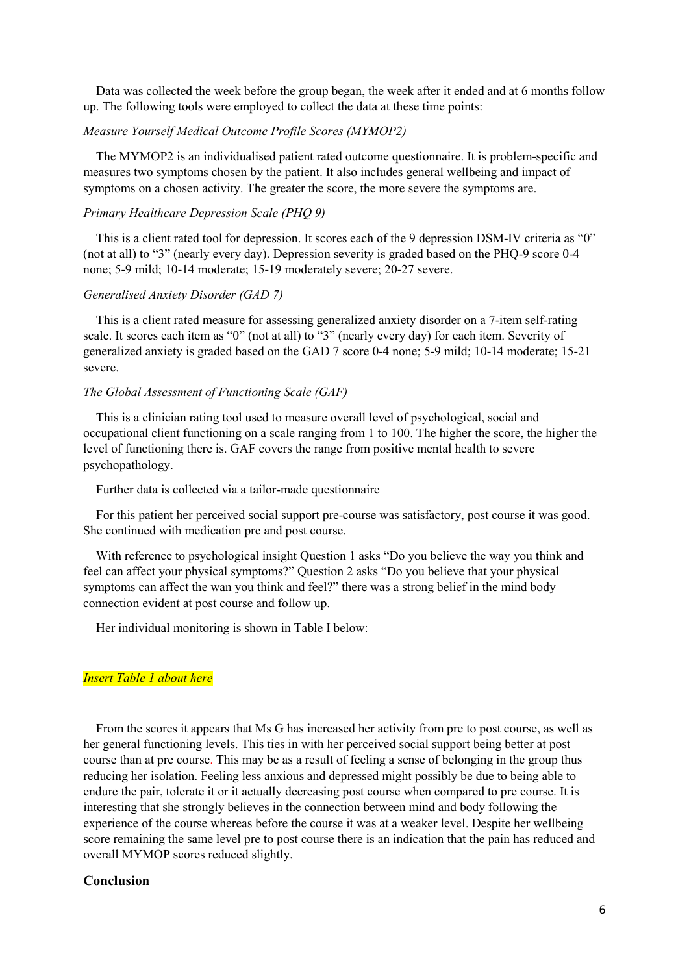Data was collected the week before the group began, the week after it ended and at 6 months follow up. The following tools were employed to collect the data at these time points:

#### *Measure Yourself Medical Outcome Profile Scores (MYMOP2)*

 The MYMOP2 is an individualised patient rated outcome questionnaire. It is problem-specific and measures two symptoms chosen by the patient. It also includes general wellbeing and impact of symptoms on a chosen activity. The greater the score, the more severe the symptoms are.

#### *Primary Healthcare Depression Scale (PHQ 9)*

 This is a client rated tool for depression. It scores each of the 9 depression DSM-IV criteria as "0" (not at all) to "3" (nearly every day). Depression severity is graded based on the PHQ-9 score 0-4 none; 5-9 mild; 10-14 moderate; 15-19 moderately severe; 20-27 severe.

#### *Generalised Anxiety Disorder (GAD 7)*

 This is a client rated measure for assessing generalized anxiety disorder on a 7-item self-rating scale. It scores each item as "0" (not at all) to "3" (nearly every day) for each item. Severity of generalized anxiety is graded based on the GAD 7 score 0-4 none; 5-9 mild; 10-14 moderate; 15-21 severe.

#### *The Global Assessment of Functioning Scale (GAF)*

 This is a clinician rating tool used to measure overall level of psychological, social and occupational client functioning on a scale ranging from 1 to 100. The higher the score, the higher the level of functioning there is. GAF covers the range from positive mental health to severe psychopathology.

Further data is collected via a tailor-made questionnaire

 For this patient her perceived social support pre-course was satisfactory, post course it was good. She continued with medication pre and post course.

 With reference to psychological insight Question 1 asks "Do you believe the way you think and feel can affect your physical symptoms?" Question 2 asks "Do you believe that your physical symptoms can affect the wan you think and feel?" there was a strong belief in the mind body connection evident at post course and follow up.

Her individual monitoring is shown in Table I below:

#### *Insert Table 1 about here*

 From the scores it appears that Ms G has increased her activity from pre to post course, as well as her general functioning levels. This ties in with her perceived social support being better at post course than at pre course. This may be as a result of feeling a sense of belonging in the group thus reducing her isolation. Feeling less anxious and depressed might possibly be due to being able to endure the pair, tolerate it or it actually decreasing post course when compared to pre course. It is interesting that she strongly believes in the connection between mind and body following the experience of the course whereas before the course it was at a weaker level. Despite her wellbeing score remaining the same level pre to post course there is an indication that the pain has reduced and overall MYMOP scores reduced slightly.

# **Conclusion**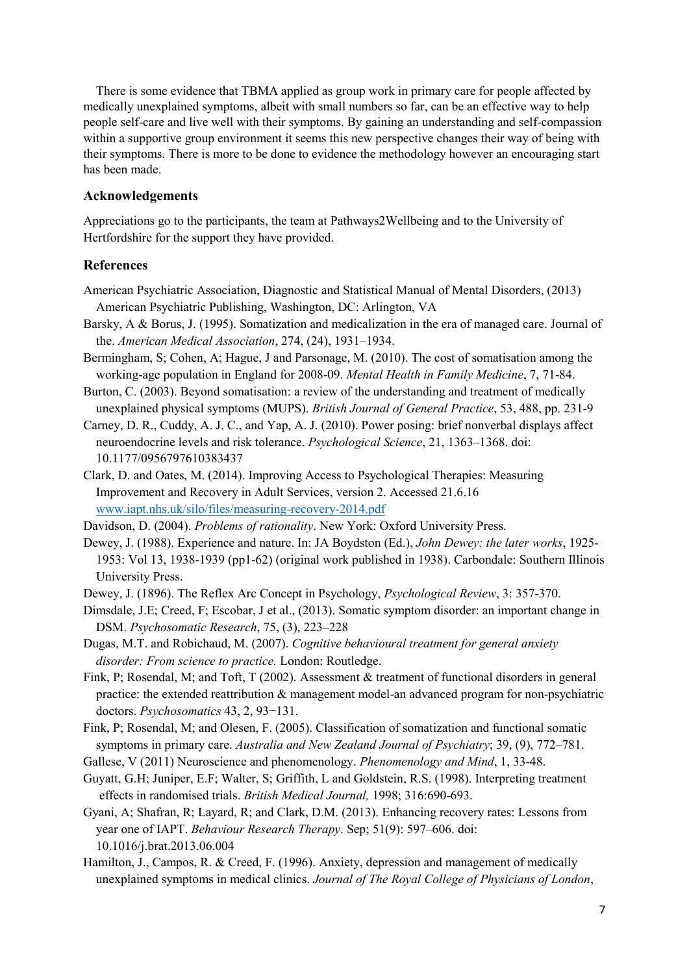There is some evidence that TBMA applied as group work in primary care for people affected by medically unexplained symptoms, albeit with small numbers so far, can be an effective way to help people self-care and live well with their symptoms. By gaining an understanding and self-compassion within a supportive group environment it seems this new perspective changes their way of being with their symptoms. There is more to be done to evidence the methodology however an encouraging start has been made.

# **Acknowledgements**

Appreciations go to the participants, the team at Pathways2Wellbeing and to the University of Hertfordshire for the support they have provided.

#### **References**

- American Psychiatric Association, Diagnostic and Statistical Manual of Mental Disorders, (2013) American Psychiatric Publishing, Washington, DC: Arlington, VA
- Barsky, A & Borus, J. (1995). Somatization and medicalization in the era of managed care. Journal of the. *American Medical Association*, 274, (24), 1931–1934.
- Bermingham, S; Cohen, A; Hague, J and Parsonage, M. (2010). The cost of somatisation among the working-age population in England for 2008-09. *Mental Health in Family Medicine*, 7, 71-84.
- Burton, C. (2003). Beyond somatisation: a review of the understanding and treatment of medically unexplained physical symptoms (MUPS). *British Journal of General Practice*, 53, 488, pp. 231-9
- Carney, D. R., Cuddy, A. J. C., and Yap, A. J. (2010). Power posing: brief nonverbal displays affect neuroendocrine levels and risk tolerance. *Psychological Science*, 21, 1363–1368. doi: 10.1177/0956797610383437
- Clark, D. and Oates, M. (2014). Improving Access to Psychological Therapies: Measuring Improvement and Recovery in Adult Services, version 2. Accessed 21.6.16 [www.iapt.nhs.uk/silo/files/measuring-recovery-2014.pdf](http://www.iapt.nhs.uk/silo/files/measuring-recovery-2014.pdf)
- Davidson, D. (2004). *Problems of rationality*. New York: Oxford University Press.
- Dewey, J. (1988). Experience and nature. In: JA Boydston (Ed.), *John Dewey: the later works*, 1925- 1953: Vol 13, 1938-1939 (pp1-62) (original work published in 1938). Carbondale: Southern Illinois University Press.
- Dewey, J. (1896). The Reflex Arc Concept in Psychology, *Psychological Review*, 3: 357-370.
- Dimsdale, J.E; Creed, F; Escobar, J et al., (2013). Somatic symptom disorder: an important change in DSM. *Psychosomatic Research*, 75, (3), 223–228
- Dugas, M.T. and Robichaud, M. (2007). *Cognitive behavioural treatment for general anxiety disorder: From science to practice.* London: Routledge.
- Fink, P; Rosendal, M; and Toft, T (2002). Assessment & treatment of functional disorders in general practice: the extended reattribution & management model-an advanced program for non-psychiatric doctors. *Psychosomatics* 43, 2, 93−131.
- Fink, P; Rosendal, M; and Olesen, F. (2005). Classification of somatization and functional somatic symptoms in primary care. *Australia and New Zealand Journal of Psychiatry*; 39, (9), 772–781.
- Gallese, V (2011) Neuroscience and phenomenology. *Phenomenology and Mind*, 1, 33-48.
- Guyatt, G.H; Juniper, E.F; Walter, S; Griffith, L and Goldstein, R.S. (1998). Interpreting treatment effects in randomised trials. *British Medical Journal,* 1998; 316:690-693.
- Gyani, A; Shafran, R; Layard, R; and Clark, D.M. (2013). Enhancing recovery rates: Lessons from year one of IAPT. *Behaviour Research Therapy*. Sep; 51(9): 597–606. doi: 10.1016/j.brat.2013.06.004
- Hamilton, J., Campos, R. & Creed, F. (1996). Anxiety, depression and management of medically unexplained symptoms in medical clinics. *Journal of The Royal College of Physicians of London*,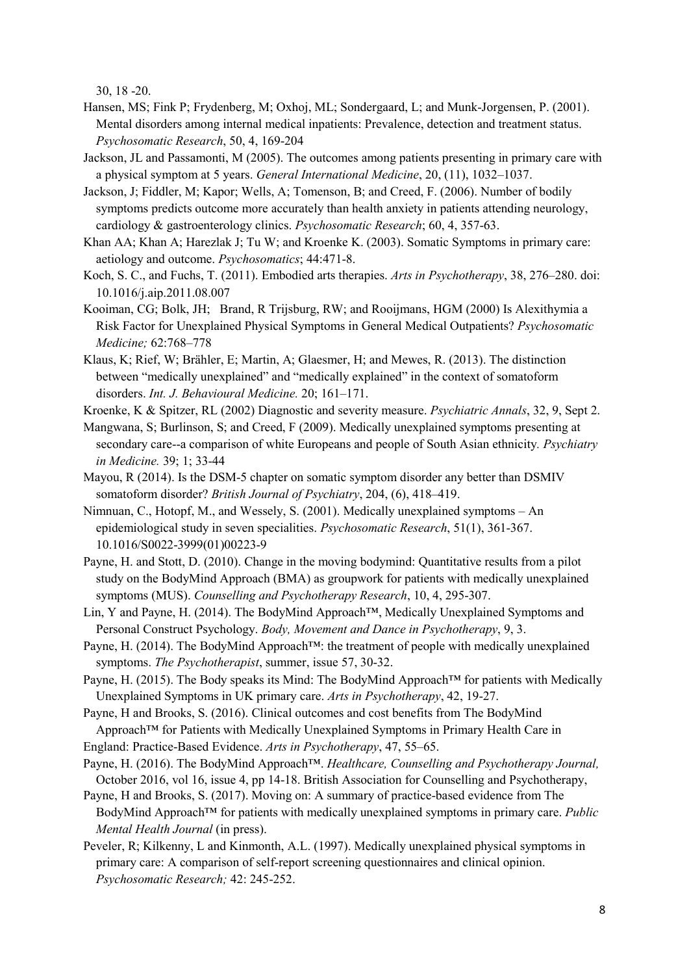30, 18 -20.

- Hansen, MS; Fink P; Frydenberg, M; Oxhoj, ML; Sondergaard, L; and Munk-Jorgensen, P. (2001). Mental disorders among internal medical inpatients: Prevalence, detection and treatment status. *Psychosomatic Research*, 50, 4, 169-204
- Jackson, JL and Passamonti, M (2005). The outcomes among patients presenting in primary care with a physical symptom at 5 years. *General International Medicine*, 20, (11), 1032–1037.
- Jackson, J; Fiddler, M; Kapor; Wells, A; Tomenson, B; and Creed, F. (2006). Number of bodily symptoms predicts outcome more accurately than health anxiety in patients attending neurology, cardiology & gastroenterology clinics. *Psychosomatic Research*; 60, 4, 357-63.
- Khan AA; Khan A; Harezlak J; Tu W; and Kroenke K. (2003). Somatic Symptoms in primary care: aetiology and outcome. *Psychosomatics*; 44:471-8.
- Koch, S. C., and Fuchs, T. (2011). Embodied arts therapies. *Arts in Psychotherapy*, 38, 276–280. doi: 10.1016/j.aip.2011.08.007
- Kooiman, CG; Bolk, JH; Brand, R Trijsburg, RW; and Rooijmans, HGM (2000) Is Alexithymia a Risk Factor for Unexplained Physical Symptoms in General Medical Outpatients? *Psychosomatic Medicine;* 62:768–778
- Klaus, K; Rief, W; Brähler, E; Martin, A; Glaesmer, H; and Mewes, R. (2013). The distinction between "medically unexplained" and "medically explained" in the context of somatoform disorders. *Int. J. Behavioural Medicine.* 20; 161–171.
- Kroenke, K & Spitzer, RL (2002) Diagnostic and severity measure. *Psychiatric Annals*, 32, 9, Sept 2.
- Mangwana, S; Burlinson, S; and Creed, F (2009). Medically unexplained symptoms presenting at secondary care--a comparison of white Europeans and people of South Asian ethnicity*. Psychiatry in Medicine.* 39; 1; 33-44
- Mayou, R (2014). Is the DSM-5 chapter on somatic symptom disorder any better than DSMIV somatoform disorder? *British Journal of Psychiatry*, 204, (6), 418–419.
- Nimnuan, C., Hotopf, M., and Wessely, S. (2001). Medically unexplained symptoms An epidemiological study in seven specialities. *Psychosomatic Research*, 51(1), 361-367. 10.1016/S0022-3999(01)00223-9
- Payne, H. and Stott, D. (2010). Change in the moving bodymind: Quantitative results from a pilot study on the BodyMind Approach (BMA) as groupwork for patients with medically unexplained symptoms (MUS). *Counselling and Psychotherapy Research*, 10, 4, 295-307.
- Lin, Y and Payne, H. (2014). The BodyMind Approach™, Medically Unexplained Symptoms and Personal Construct Psychology. *Body, Movement and Dance in Psychotherapy*, 9, 3.
- Payne, H. (2014). The BodyMind Approach™: the treatment of people with medically unexplained symptoms. *The Psychotherapist*, summer, issue 57, 30-32.
- Payne, H. (2015). The Body speaks its Mind: The BodyMind Approach™ for patients with Medically Unexplained Symptoms in UK primary care. *Arts in Psychotherapy*, 42, 19-27.
- Payne, H and Brooks, S. (2016). Clinical outcomes and cost benefits from The BodyMind Approach™ for Patients with Medically Unexplained Symptoms in Primary Health Care in
- England: Practice-Based Evidence. *Arts in Psychotherapy*, 47, 55–65.
- Payne, H. (2016). The BodyMind Approach<sup>™</sup>. *Healthcare, Counselling and Psychotherapy Journal,* October 2016, vol 16, issue 4, pp 14-18. British Association for Counselling and Psychotherapy,
- Payne, H and Brooks, S. (2017). Moving on: A summary of practice-based evidence from The BodyMind Approach™ for patients with medically unexplained symptoms in primary care. *Public Mental Health Journal* (in press).
- Peveler, R; Kilkenny, L and Kinmonth, A.L. (1997). Medically unexplained physical symptoms in primary care: A comparison of self-report screening questionnaires and clinical opinion. *Psychosomatic Research;* 42: 245-252.